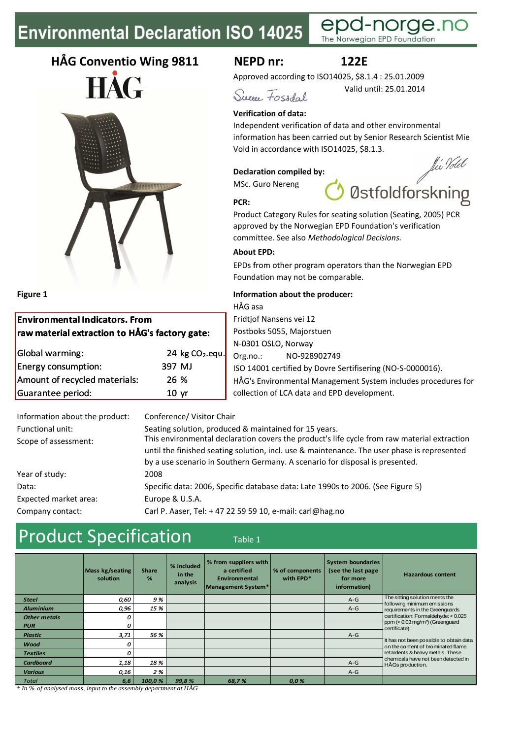# **Environmental Declaration ISO 14025**

# **HÅG Conventio Wing 9811**





### **Environmental Indicators. From raw material extraction to HÅG's factory gate:**

| Global warming:               | 24 kg CO <sub>2-equ.</sub> |
|-------------------------------|----------------------------|
| Energy consumption:           | 397 MJ                     |
| Amount of recycled materials: | 26 %                       |
| Guarantee period:             | 10 <sub>vr</sub>           |
|                               |                            |

### **NEPD nr: 122E**

Valid until: 25.01.2014

The Norwegian EPD Foundation

Approved according to ISO14025, \$8.1.4 : 25.01.2009

e

Sueson Fossdal.

### **Verification of data:**

Independent verification of data and other environmental information has been carried out by Senior Research Scientist Mie Vold in accordance with ISO14025, \$8.1.3.

#### **Declaration compiled by:**

MSc. Guro Nereng

fli Volel Østfoldforskning

orde r

**PCR:**

Product Category Rules for seating solution (Seating, 2005) PCR approved by the Norwegian EPD Foundation's verification committee. See also *Methodological Decisions.*

### **About EPD:**

EPDs from other program operators than the Norwegian EPD Foundation may not be comparable.

### **Figure 1 Information about the producer:**

HÅG asa Fridtjof Nansens vei 12 Postboks 5055, Majorstuen N-0301 OSLO, Norway Org.no.: NO-928902749 ISO 14001 certified by Dovre Sertifisering (NO-S-0000016). HÅG's Environmental Management System includes procedures for collection of LCA data and EPD development.

| Information about the product: | Conference/ Visitor Chair                                                                   |
|--------------------------------|---------------------------------------------------------------------------------------------|
| Functional unit:               | Seating solution, produced & maintained for 15 years.                                       |
| Scope of assessment:           | This environmental declaration covers the product's life cycle from raw material extraction |
|                                | until the finished seating solution, incl. use & maintenance. The user phase is represented |
|                                | by a use scenario in Southern Germany. A scenario for disposal is presented.                |
| Year of study:                 | 2008                                                                                        |
| Data:                          | Specific data: 2006, Specific database data: Late 1990s to 2006. (See Figure 5)             |
| Expected market area:          | Europe & U.S.A.                                                                             |
| Company contact:               | Carl P. Aaser, Tel: +47 22 59 59 10, e-mail: carl@hag.no                                    |
|                                |                                                                                             |

## Product Specification Table 1

|                     | Mass kg/seating<br>solution | <b>Share</b><br>% | % included<br>in the<br>analysis | % from suppliers with<br>a certified<br>Environmental<br>Management System* | % of components<br>with EPD* | <b>System boundaries</b><br>(see the last page)<br>for more<br>information) | <b>Hazardous content</b>                                                      |
|---------------------|-----------------------------|-------------------|----------------------------------|-----------------------------------------------------------------------------|------------------------------|-----------------------------------------------------------------------------|-------------------------------------------------------------------------------|
| <b>Steel</b>        | 0,60                        | 9%                |                                  |                                                                             |                              | $A-G$                                                                       | The sitting solution meets the                                                |
| <b>Aluminium</b>    | 0.96                        | 15 %              |                                  |                                                                             |                              | $A-G$                                                                       | following minimum emissions<br>requirements in the Greenguards                |
| <b>Other metals</b> | 0                           |                   |                                  |                                                                             |                              |                                                                             | certification: Formaldehyde: < 0.025                                          |
| <b>PUR</b>          | 0                           |                   |                                  |                                                                             |                              |                                                                             | ppm (< 0.03 mg/m <sup>3</sup> ) (Greenquard<br>certificate).                  |
| <b>Plastic</b>      | 3,71                        | 56 %              |                                  |                                                                             |                              | $A-G$                                                                       |                                                                               |
| Wood                | 0                           |                   |                                  |                                                                             |                              |                                                                             | It has not been possible to obtain data<br>on the content of brominated flame |
| <b>Textiles</b>     | 0                           |                   |                                  |                                                                             |                              |                                                                             | retardents & heavy metals. These                                              |
| <b>Cardboard</b>    | 1,18                        | 18 %              |                                  |                                                                             |                              | $A-G$                                                                       | chemicals have not been detected in<br>HÅGs production.                       |
| <b>Various</b>      | 0,16                        | 2%                |                                  |                                                                             |                              | $A-G$                                                                       |                                                                               |
| <b>Total</b>        | 6,6                         | 100,0 %           | 99,8%                            | 68,7%                                                                       | 0,0%                         |                                                                             |                                                                               |

*\* In % of analysed mass, input to the assembly department at HÅG*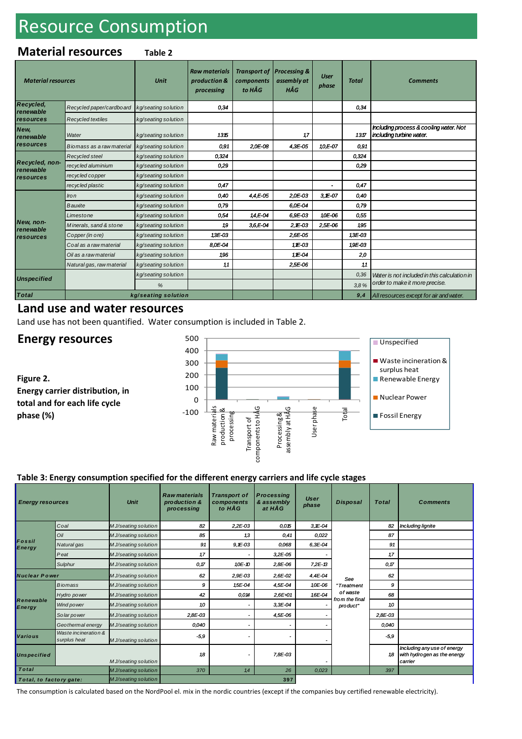# Resource Consumption

### **Material resources Table 2**

| <b>Material resources</b>     |                           | <b>Unit</b>         | <b>Raw materials</b><br>production &<br>processing | <b>Transport of</b><br>components<br>to HÅG | Processing &<br>assembly at<br>HÅG | <b>User</b><br>phase | <b>Total</b> | <b>Comments</b>                                                    |
|-------------------------------|---------------------------|---------------------|----------------------------------------------------|---------------------------------------------|------------------------------------|----------------------|--------------|--------------------------------------------------------------------|
| <b>Recycled,</b><br>renewable | Recycled paper/cardboard  | kg/seating solution | 0.34                                               |                                             |                                    |                      | 0.34         |                                                                    |
| resources                     | <b>Recycled textiles</b>  | kg/seating solution |                                                    |                                             |                                    |                      |              |                                                                    |
| New,<br>renewable             | Water                     | kg/seating solution | 1315                                               |                                             | 17                                 |                      | 1317         | Including process & cooling water. Not<br>including turbine water. |
| resources                     | Biomass as a raw material | kg/seating solution | 0.91                                               | 2,0E-08                                     | 4,3E-05                            | 10,E-07              | 0,91         |                                                                    |
|                               | Recycled steel            | kg/seating solution | 0.324                                              |                                             |                                    |                      | 0,324        |                                                                    |
| Recycled, non-<br>renewable   | recycled aluminium        | kg/seating solution | 0.29                                               |                                             |                                    |                      | 0.29         |                                                                    |
| resources                     | recycled copper           | kg/seating solution |                                                    |                                             |                                    |                      |              |                                                                    |
|                               | recycled plastic          | kg/seating solution | 0,47                                               |                                             |                                    |                      | 0,47         |                                                                    |
|                               | Iron                      | kg/seating solution | 0,40                                               | $4.4E-05$                                   | 2,0E-03                            | $3.E-07$             | 0.40         |                                                                    |
|                               | <b>Bauxite</b>            | kg/seating solution | 0,79                                               |                                             | 6,0E-04                            |                      | 0,79         |                                                                    |
|                               | Limestone                 | kg/seating solution | 0.54                                               | 14,E-04                                     | 6,9E-03                            | 10E-06               | 0.55         |                                                                    |
| New, non-<br>renewable        | Minerals, sand & stone    | kg/seating solution | 19                                                 | $3.6E - 04$                                 | $2, E - 03$                        | $2.5E-06$            | 195          |                                                                    |
| resources                     | Copper (in ore)           | kg/seating solution | 13E-03                                             |                                             | 2,6E-05                            |                      | 13E-03       |                                                                    |
|                               | Coal as a raw material    | kg/seating solution | 8.0E-04                                            |                                             | 11E-03                             |                      | 19E-03       |                                                                    |
|                               | Oil as a raw material     | kg/seating solution | 196                                                |                                             | 11E-04                             |                      | 2,0          |                                                                    |
|                               | Natural gas, raw material | kg/seating solution | 11                                                 |                                             | 2,5E-06                            |                      | 11           |                                                                    |
| <b>Unspecified</b>            |                           | kg/seating solution |                                                    |                                             |                                    |                      | 0,36         | Water is not included in this calculation in                       |
|                               |                           | %                   |                                                    |                                             |                                    |                      | 3.8%         | order to make it more precise.                                     |
| <b>Total</b>                  | kg/seating solution       |                     |                                                    |                                             |                                    |                      | 9,4          | All resources except for air and water.                            |

### **Land use and water resources**

Land use has not been quantified. Water consumption is included in Table 2.

### **Energy resources**

**Figure 2. Energy carrier distribution, in total and for each life cycle phase (%)**



#### **Table 3: Energy consumption specified for the different energy carriers and life cycle stages**

| <b>Energy resources</b>    |                                                              | <b>Unit</b>          | <b>Raw materials</b><br>production &<br>processing | <b>Transport of</b><br>components<br>to HÅG | <b>Processing</b><br>& assembly<br>at HÅG | <b>User</b><br>phase | <b>Disposal</b>                          | <b>Total</b> | <b>Comments</b>                                                       |
|----------------------------|--------------------------------------------------------------|----------------------|----------------------------------------------------|---------------------------------------------|-------------------------------------------|----------------------|------------------------------------------|--------------|-----------------------------------------------------------------------|
|                            | Coal                                                         | M J/seating solution | 82                                                 | $2,2E-03$                                   | 0.015                                     | $3,15 - 04$          |                                          | 82           | <b>Including lignite</b>                                              |
|                            | Oil                                                          | M J/seating solution | 85                                                 | 13                                          | 0,41                                      | 0.022                |                                          | 87           |                                                                       |
| Fossil<br>Energy           | Natural gas                                                  | M J/seating solution | 91                                                 | $9,1 - 03$                                  | 0,068                                     | 6,3E-04              |                                          | 91           |                                                                       |
|                            | Peat                                                         | M J/seating solution | 17                                                 |                                             | 3,2E-05                                   |                      |                                          | 17           |                                                                       |
|                            | Sulphur                                                      | M J/seating solution | 0, 17                                              | 10E-10                                      | 2,8E-06                                   | 7,2E-13              |                                          | 0, 17        |                                                                       |
| <b>Nuclear Power</b>       |                                                              | M J/seating solution | 62                                                 | 2,9E-03                                     | 2,6E-02                                   | 4,4E-04              | See                                      | 62           |                                                                       |
|                            | <b>Biomass</b>                                               | M J/seating solution | 9                                                  | 15E-04                                      | 4,5E-04                                   | 10E-06               | "Treatment<br>of waste<br>from the final | 9            |                                                                       |
|                            | Hydro power                                                  | M J/seating solution | 42                                                 | 0.014                                       | 2,6E+01                                   | 16E-04               |                                          | 68           |                                                                       |
| Renewable<br><b>Energy</b> | Wind po wer                                                  | M J/seating solution | 10                                                 |                                             | 3,3E-04                                   |                      | product"                                 | 10           |                                                                       |
|                            | Solar power                                                  | M J/seating solution | 2,8E-03                                            |                                             | 4,5E-06                                   |                      |                                          | 2,8E-03      |                                                                       |
|                            | Geothermal energy                                            | MJ/seating solution  | 0,040                                              |                                             |                                           |                      |                                          | 0,040        |                                                                       |
| Various                    | Waste incineration &<br>surplus heat<br>M J/seating solution |                      | $-5,9$                                             |                                             |                                           |                      |                                          | $-5.9$       |                                                                       |
| <b>Unspecified</b>         |                                                              | MJ/seating solution  | 18                                                 |                                             | 7.8E-03                                   |                      |                                          | 18           | Including any use of energy<br>with hydrogen as the energy<br>carrier |
| Total                      |                                                              | M J/seating solution | 370                                                | 1,4                                         | 26                                        | 0,023                |                                          | 397          |                                                                       |
| Total, to factory gate:    |                                                              | M J/seating solution |                                                    |                                             | 397                                       |                      |                                          |              |                                                                       |

The consumption is calculated based on the NordPool el. mix in the nordic countries (except if the companies buy certified renewable electricity).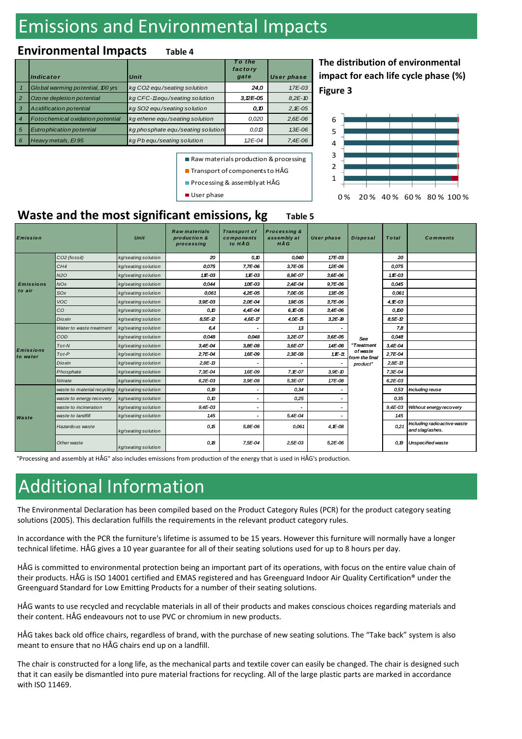# Emissions and Environmental Impacts

### **Environmental Impacts Table 4**

|                | Indicator                         | Unit                               | To the<br>factory<br>gate | <b>User phase</b> |
|----------------|-----------------------------------|------------------------------------|---------------------------|-------------------|
|                | Global warming potential, 100 yrs | kg CO2 equ./seating solution       | 24,0                      | 1,7E-03           |
| $\overline{2}$ | Ozo ne depletion potential        | kg CFC-11equ./seating solution     | $3.2E-05$                 | $8.2E - 10$       |
| 3              | A cidification potential          | kg SO2 equ./seating solution       | 0. O                      | $2,15 - 05$       |
| $\overline{4}$ | Fotochemical oxidation potential  | kg ethene equ./seating solution    | 0,020                     | $2,6E-06$         |
| 5              | Eutrophication potential          | kg phosphate equ./seating solution | 0.013                     | $1.3E - 06$       |
| 6              | Heavy metals, El 95               | kg Pb equ./seating solution        | $12E-04$                  | $7.4E-06$         |

**Figure 3 The distribution of environmental impact for each life cycle phase (%)**



### **Waste and the most significant emissions, kg** Table 5

User phase

| <b>Emission</b>              |                                                 | Unit                | <b>Raw materials</b><br>production &<br>processing | <b>Transport of</b><br>components<br>to HÅG | <b>Processing &amp;</b><br>assembly at<br><b>HÅG</b> | <b>User phase</b> | <b>Disposal</b>                                 | <b>Total</b> | <b>Comments</b>                                |
|------------------------------|-------------------------------------------------|---------------------|----------------------------------------------------|---------------------------------------------|------------------------------------------------------|-------------------|-------------------------------------------------|--------------|------------------------------------------------|
|                              | CO2 (fossil)                                    | kg/seating solution | 20                                                 | 0.10                                        | 0,040                                                | 17E-03            |                                                 | 20           |                                                |
|                              | CH <sub>4</sub>                                 | kg/seating solution | 0,075                                              | 7,7E-06                                     | 3,7E-05                                              | 12E-06            |                                                 | 0,075        |                                                |
|                              | <b>N2O</b>                                      | kg/seating solution | 1E-03                                              | $1E-03$                                     | 8,9E-07                                              | 3,6E-06           |                                                 | 1E-03        |                                                |
| <b>Emissions</b>             | <b>NOx</b>                                      | kg/seating solution | 0,044                                              | 10E-03                                      | 2,4E-04                                              | 9,7E-06           |                                                 | 0,045        |                                                |
| to air                       | SOx                                             | kg/seating solution | 0,061                                              | 4,2E-05                                     | 7,0E-05                                              | 13E-05            |                                                 | 0,061        |                                                |
|                              | <b>VOC</b>                                      | kg/seating solution | 3,9E-03                                            | 2,0E-04                                     | 19E-05                                               | 3,7E-06           | See<br>"Treatment<br>of waste<br>from the final | 4,1E-03      |                                                |
|                              | CO                                              | kg/seating solution | 0.10                                               | 4,4E-04                                     | $6, 1 - 05$                                          | 3,4E-06           |                                                 | 0.00         |                                                |
|                              | Dioxin                                          | kg/seating solution | 8,5E-12                                            | 4,6E-17                                     | 4,0E-15                                              | $3.2E - 19$       |                                                 | 8.5E-12      |                                                |
|                              | Water to waste treatment                        | kg/seating solution | 6,4                                                |                                             | 13                                                   |                   |                                                 | 7,8          |                                                |
|                              | COD                                             | kg/seating solution | 0,048                                              | 0,048                                       | 3,2E-07                                              | 3,6E-05           |                                                 | 0,048        |                                                |
|                              | $Tot-N$                                         | kg/seating solution | 3,4E-04                                            | 3,8E-08                                     | 3,6E-07                                              | 14E-08            |                                                 | 3,4E-04      |                                                |
| <b>Emissions</b><br>to water | $Tot-P$                                         | kg/seating solution | 2,7E-04                                            | 1,6E-09                                     | 2,3E-08                                              | $1,1 - 11$        |                                                 | 2,7E-04      |                                                |
|                              | Dioxin                                          | kg/seating solution | $2,8E-13$                                          | ۰                                           |                                                      |                   | product"                                        | 2,8E-13      |                                                |
|                              | Phosphate                                       | kg/seating solution | 7,3E-04                                            | 1,6E-09                                     | 7,1E-07                                              | 3,9E-10           |                                                 | 7,3E-04      |                                                |
|                              | Nitrate                                         | kg/seating solution | 6,2E-03                                            | 3,9E-08                                     | 5,3E-07                                              | 17E-08            |                                                 | 6,2E-03      |                                                |
|                              | waste to material recycling kg/seating solution |                     | 0, 19                                              |                                             | 0,34                                                 |                   |                                                 | 0,53         | Including reuse                                |
|                              | waste to energy recovery                        | kg/seating solution | 0.10                                               |                                             | 0,25                                                 |                   |                                                 | 0,35         |                                                |
| Waste                        | waste to incineration                           | kg/seating solution | $9,4E-03$                                          |                                             |                                                      |                   |                                                 | $9,4E-03$    | Without energy recovery                        |
|                              | waste to landfill                               | kg/seating solution | 145                                                |                                             | 5,4E-04                                              |                   |                                                 | 1,45         |                                                |
|                              | Hazardous waste                                 | kg/seating solution | 0, 15                                              | 5,8E-06                                     | 0,061                                                | 4,1E-08           |                                                 | 0.21         | Including radioactive waste<br>and slag/ashes. |
|                              | Other waste                                     | kg/seating solution | 0, B                                               | 7,5E-04                                     | 2,5E-03                                              | 5,2E-06           |                                                 | 0, 19        | Unspecified waste                              |

Raw materials production & processing ■ Transport of components to HÅG **Processing & assembly at HÅG** 

"Processing and assembly at HÅG" also includes emissions from production of the energy that is used in HÅG's production.

# Additional Information

The Environmental Declaration has been compiled based on the Product Category Rules (PCR) for the product category seating solutions (2005). This declaration fulfills the requirements in the relevant product category rules.

In accordance with the PCR the furniture's lifetime is assumed to be 15 years. However this furniture will normally have a longer technical lifetime. HÅG gives a 10 year guarantee for all of their seating solutions used for up to 8 hours per day.

HÅG is committed to environmental protection being an important part of its operations, with focus on the entire value chain of their products. HÅG is ISO 14001 certified and EMAS registered and has Greenguard Indoor Air Quality Certification® under the Greenguard Standard for Low Emitting Products for a number of their seating solutions.

HÅG wants to use recycled and recyclable materials in all of their products and makes conscious choices regarding materials and their content. HÅG endeavours not to use PVC or chromium in new products.

HÅG takes back old office chairs, regardless of brand, with the purchase of new seating solutions. The "Take back" system is also meant to ensure that no HÅG chairs end up on a landfill.

The chair is constructed for a long life, as the mechanical parts and textile cover can easily be changed. The chair is designed such that it can easily be dismantled into pure material fractions for recycling. All of the large plastic parts are marked in accordance with ISO 11469.